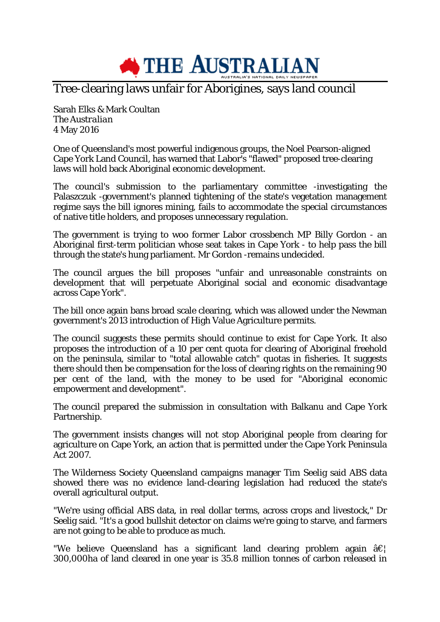

## Tree-clearing laws unfair for Aborigines, says land council

Sarah Elks & Mark Coultan *The Australian* 4 May 2016

One of Queensland's most powerful indigenous groups, the Noel Pearson-aligned Cape York Land Council, has warned that Labor's "flawed" proposed tree-clearing laws will hold back Aboriginal economic development.

The council's submission to the parliamentary committee -investigating the Palaszczuk -government's planned tightening of the state's vegetation management regime says the bill ignores mining, fails to accommodate the special circumstances of native title holders, and proposes unnecessary regulation.

The government is trying to woo former Labor crossbench MP Billy Gordon - an Aboriginal first-term politician whose seat takes in Cape York - to help pass the bill through the state's hung parliament. Mr Gordon -remains undecided.

The council argues the bill proposes "unfair and unreasonable constraints on development that will perpetuate Aboriginal social and economic disadvantage across Cape York".

The bill once again bans broad scale clearing, which was allowed under the Newman government's 2013 introduction of High Value Agriculture permits.

The council suggests these permits should continue to exist for Cape York. It also proposes the introduction of a 10 per cent quota for clearing of Aboriginal freehold on the peninsula, similar to "total allowable catch" quotas in fisheries. It suggests there should then be compensation for the loss of clearing rights on the remaining 90 per cent of the land, with the money to be used for "Aboriginal economic empowerment and development".

The council prepared the submission in consultation with Balkanu and Cape York Partnership.

The government insists changes will not stop Aboriginal people from clearing for agriculture on Cape York, an action that is permitted under the Cape York Peninsula Act 2007.

The Wilderness Society Queensland campaigns manager Tim Seelig said ABS data showed there was no evidence land-clearing legislation had reduced the state's overall agricultural output.

"We're using official ABS data, in real dollar terms, across crops and livestock," Dr Seelig said. "It's a good bullshit detector on claims we're going to starve, and farmers are not going to be able to produce as much.

"We believe Queensland has a significant land clearing problem again  $\hat{a}\epsilon$ " 300,000ha of land cleared in one year is 35.8 million tonnes of carbon released in